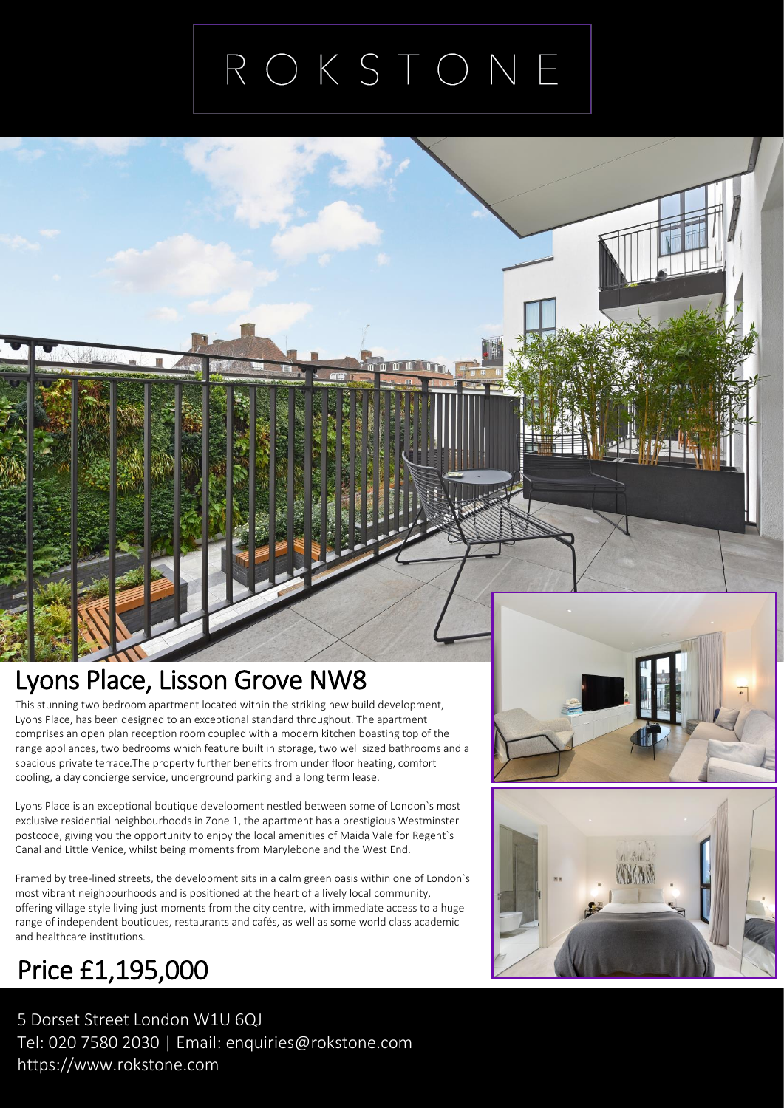## ROKSTONE

#### Lyons Place, Lisson Grove NW8

This stunning two bedroom apartment located within the striking new build developme<br>Lyons Place, has been designed to an exceptional standard throughout. The apartment<br>comprises an open plan reception room coupled with a m This stunning two bedroom apartment located within the striking new build development, comprises an open plan reception room coupled with a modern kitchen boasting top of the range appliances, two bedrooms which feature built in storage, two well sized bathrooms and a spacious private terrace.The property further benefits from under floor heating, comfort cooling, a day concierge service, underground parking and a long term lease.

Lyons Place is an exceptional boutique development nestled between some of London`s most exclusive residential neighbourhoods in Zone 1, the apartment has a prestigious Westminster postcode, giving you the opportunity to enjoy the local amenities of Maida Vale for Regent`s Canal and Little Venice, whilst being moments from Marylebone and the West End.

Framed by tree-lined streets, the development sits in a calm green oasis within one of London`s most vibrant neighbourhoods and is positioned at the heart of a lively local community, offering village style living just moments from the city centre, with immediate access to a huge range of independent boutiques, restaurants and cafés, as well as some world class academic and healthcare institutions.

### Price £1,195,000

 5 Dorset Street London W1U 6QJ Tel: 020 7580 2030 | Email: enquiries@rokstone.com https://www.rokstone.com